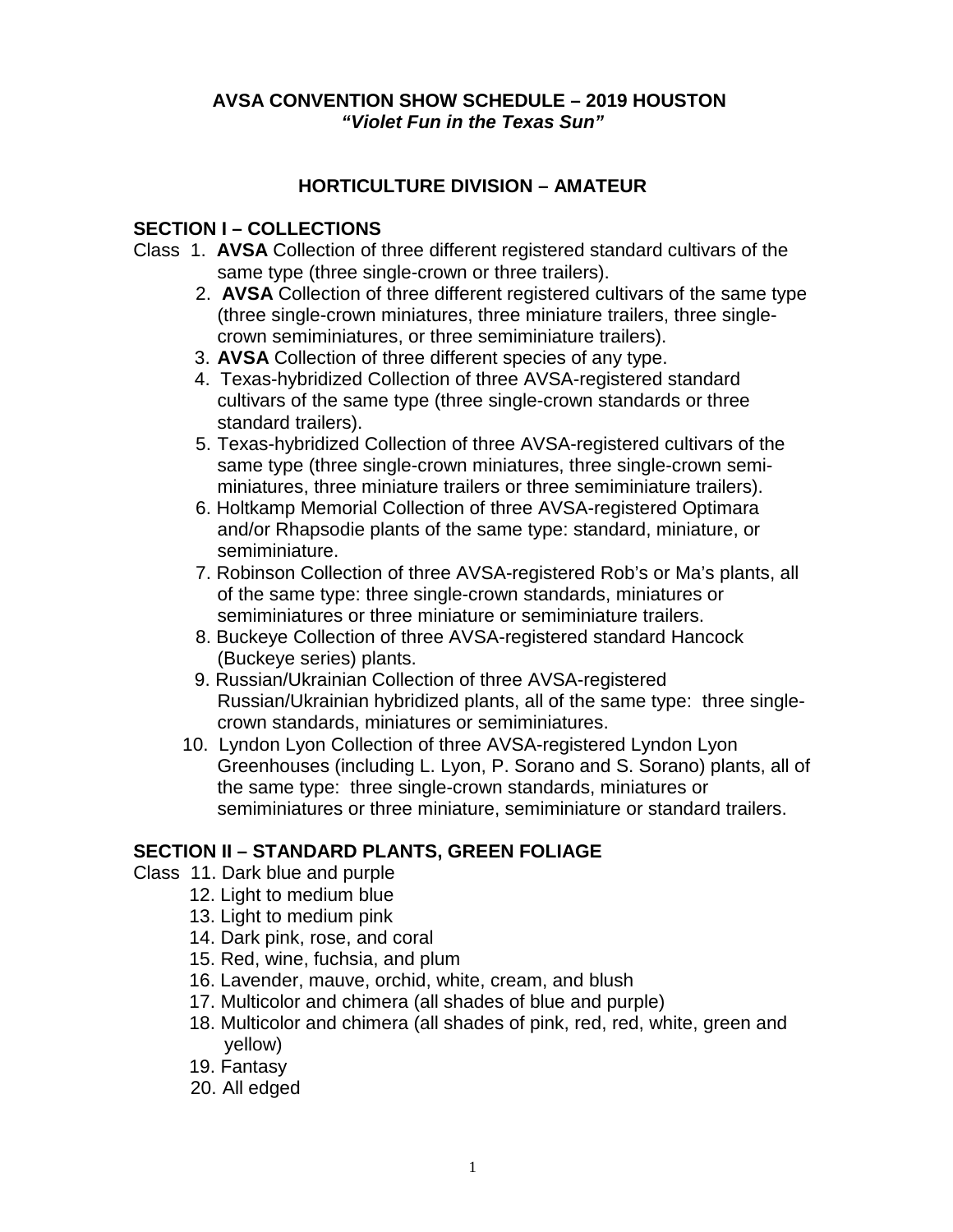### **AVSA CONVENTION SHOW SCHEDULE – 2019 HOUSTON** *"Violet Fun in the Texas Sun"*

# **HORTICULTURE DIVISION – AMATEUR**

### **SECTION I – COLLECTIONS**

- Class 1. **AVSA** Collection of three different registered standard cultivars of the same type (three single-crown or three trailers).
	- 2. **AVSA** Collection of three different registered cultivars of the same type (three single-crown miniatures, three miniature trailers, three singlecrown semiminiatures, or three semiminiature trailers).
	- 3. **AVSA** Collection of three different species of any type.
	- 4. Texas-hybridized Collection of three AVSA-registered standard cultivars of the same type (three single-crown standards or three standard trailers).
	- 5. Texas-hybridized Collection of three AVSA-registered cultivars of the same type (three single-crown miniatures, three single-crown semiminiatures, three miniature trailers or three semiminiature trailers).
	- 6. Holtkamp Memorial Collection of three AVSA-registered Optimara and/or Rhapsodie plants of the same type: standard, miniature, or semiminiature.
	- 7. Robinson Collection of three AVSA-registered Rob's or Ma's plants, all of the same type: three single-crown standards, miniatures or semiminiatures or three miniature or semiminiature trailers.
	- 8. Buckeye Collection of three AVSA-registered standard Hancock (Buckeye series) plants.
	- 9. Russian/Ukrainian Collection of three AVSA-registered Russian/Ukrainian hybridized plants, all of the same type: three singlecrown standards, miniatures or semiminiatures.
	- 10. Lyndon Lyon Collection of three AVSA-registered Lyndon Lyon Greenhouses (including L. Lyon, P. Sorano and S. Sorano) plants, all of the same type: three single-crown standards, miniatures or semiminiatures or three miniature, semiminiature or standard trailers.

# **SECTION II – STANDARD PLANTS, GREEN FOLIAGE**

- Class 11. Dark blue and purple
	- 12. Light to medium blue
	- 13. Light to medium pink
	- 14. Dark pink, rose, and coral
	- 15. Red, wine, fuchsia, and plum
	- 16. Lavender, mauve, orchid, white, cream, and blush
	- 17. Multicolor and chimera (all shades of blue and purple)
	- 18. Multicolor and chimera (all shades of pink, red, red, white, green and yellow)
	- 19. Fantasy
	- 20. All edged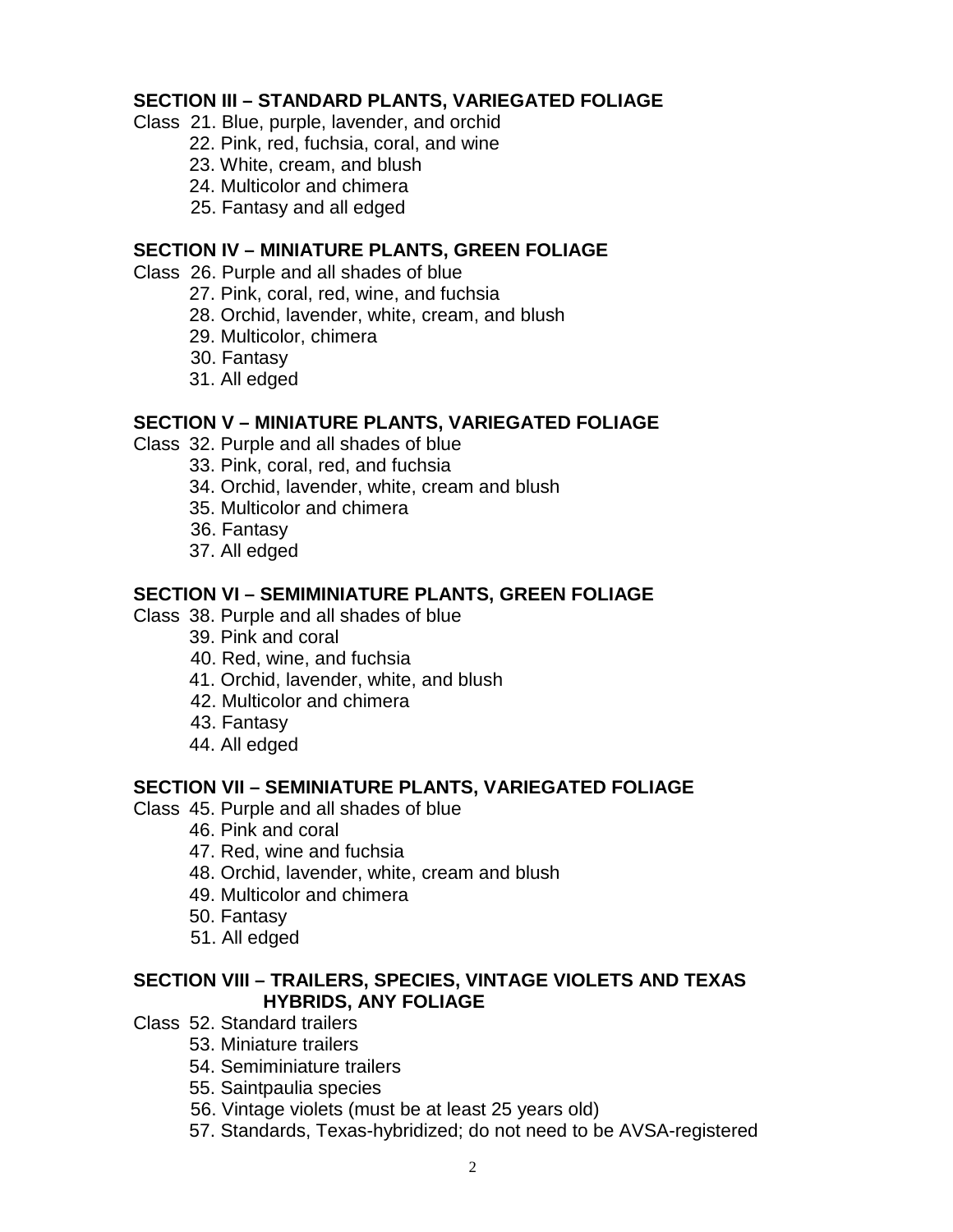### **SECTION III – STANDARD PLANTS, VARIEGATED FOLIAGE**

- Class 21. Blue, purple, lavender, and orchid
	- 22. Pink, red, fuchsia, coral, and wine
	- 23. White, cream, and blush
	- 24. Multicolor and chimera
	- 25. Fantasy and all edged

# **SECTION IV – MINIATURE PLANTS, GREEN FOLIAGE**

- Class 26. Purple and all shades of blue
	- 27. Pink, coral, red, wine, and fuchsia
	- 28. Orchid, lavender, white, cream, and blush
	- 29. Multicolor, chimera
	- 30. Fantasy
	- 31. All edged

# **SECTION V – MINIATURE PLANTS, VARIEGATED FOLIAGE**

- Class 32. Purple and all shades of blue
	- 33. Pink, coral, red, and fuchsia
	- 34. Orchid, lavender, white, cream and blush
	- 35. Multicolor and chimera
	- 36. Fantasy
	- 37. All edged

### **SECTION VI – SEMIMINIATURE PLANTS, GREEN FOLIAGE**

- Class 38. Purple and all shades of blue
	- 39. Pink and coral
	- 40. Red, wine, and fuchsia
	- 41. Orchid, lavender, white, and blush
	- 42. Multicolor and chimera
	- 43. Fantasy
	- 44. All edged

# **SECTION VII – SEMINIATURE PLANTS, VARIEGATED FOLIAGE**

- Class 45. Purple and all shades of blue
	- 46. Pink and coral
	- 47. Red, wine and fuchsia
	- 48. Orchid, lavender, white, cream and blush
	- 49. Multicolor and chimera
	- 50. Fantasy
	- 51. All edged

### **SECTION VIII – TRAILERS, SPECIES, VINTAGE VIOLETS AND TEXAS HYBRIDS, ANY FOLIAGE**

- Class 52. Standard trailers
	- 53. Miniature trailers
	- 54. Semiminiature trailers
	- 55. Saintpaulia species
	- 56. Vintage violets (must be at least 25 years old)
	- 57. Standards, Texas-hybridized; do not need to be AVSA-registered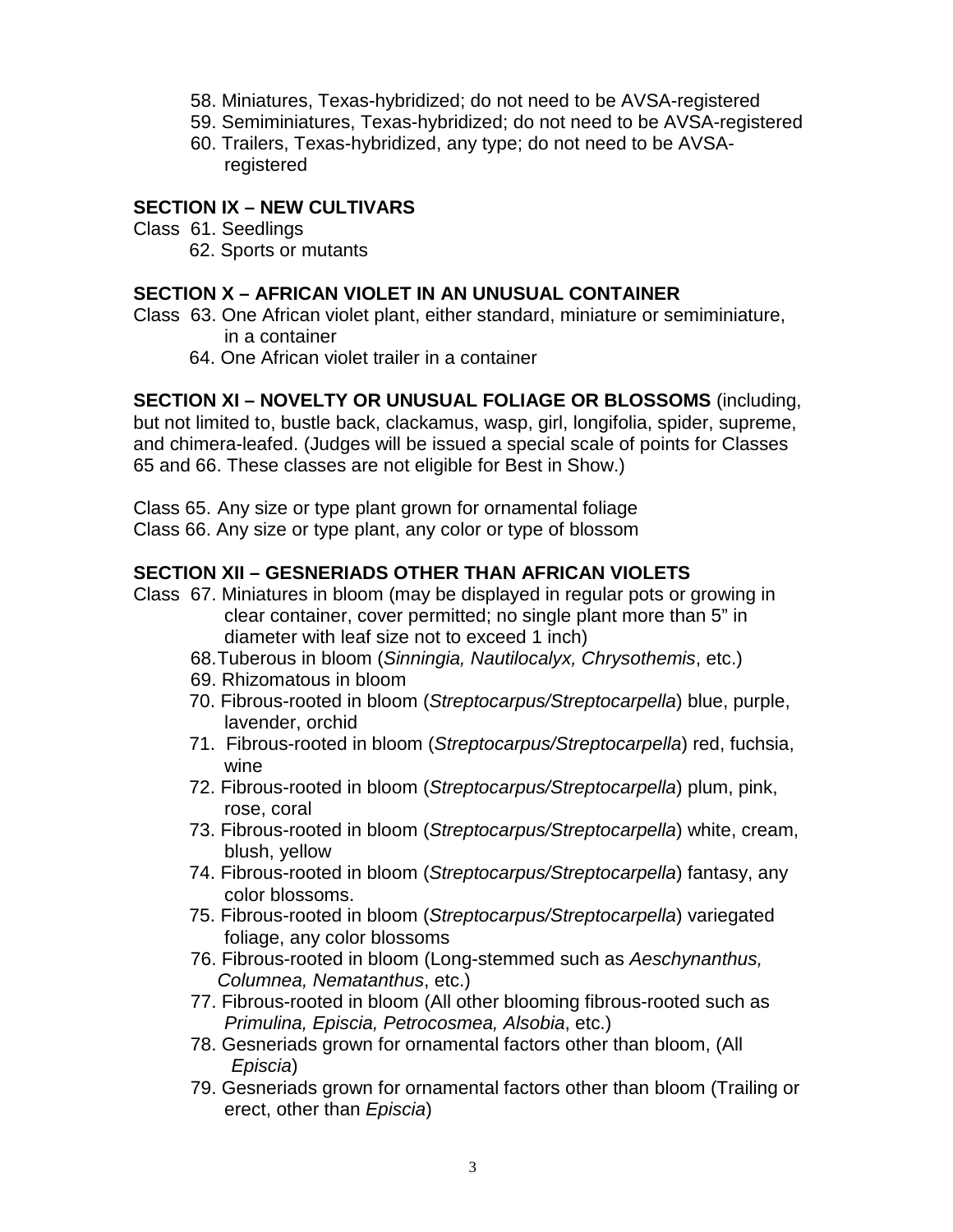- 58. Miniatures, Texas-hybridized; do not need to be AVSA-registered
- 59. Semiminiatures, Texas-hybridized; do not need to be AVSA-registered
- 60. Trailers, Texas-hybridized, any type; do not need to be AVSAregistered

# **SECTION IX – NEW CULTIVARS**

### Class 61. Seedlings

62. Sports or mutants

# **SECTION X – AFRICAN VIOLET IN AN UNUSUAL CONTAINER**

- Class 63. One African violet plant, either standard, miniature or semiminiature, in a container
	- 64. One African violet trailer in a container

# **SECTION XI – NOVELTY OR UNUSUAL FOLIAGE OR BLOSSOMS** (including,

but not limited to, bustle back, clackamus, wasp, girl, longifolia, spider, supreme, and chimera-leafed. (Judges will be issued a special scale of points for Classes 65 and 66. These classes are not eligible for Best in Show.)

Class 65. Any size or type plant grown for ornamental foliage Class 66. Any size or type plant, any color or type of blossom

# **SECTION XII – GESNERIADS OTHER THAN AFRICAN VIOLETS**

- Class 67. Miniatures in bloom (may be displayed in regular pots or growing in clear container, cover permitted; no single plant more than 5" in diameter with leaf size not to exceed 1 inch)
	- 68.Tuberous in bloom (*Sinningia, Nautilocalyx, Chrysothemis*, etc.)
	- 69. Rhizomatous in bloom
	- 70. Fibrous-rooted in bloom (*Streptocarpus/Streptocarpella*) blue, purple, lavender, orchid
	- 71. Fibrous-rooted in bloom (*Streptocarpus/Streptocarpella*) red, fuchsia, wine
	- 72. Fibrous-rooted in bloom (*Streptocarpus/Streptocarpella*) plum, pink, rose, coral
	- 73. Fibrous-rooted in bloom (*Streptocarpus/Streptocarpella*) white, cream, blush, yellow
	- 74. Fibrous-rooted in bloom (*Streptocarpus/Streptocarpella*) fantasy, any color blossoms.
	- 75. Fibrous-rooted in bloom (*Streptocarpus/Streptocarpella*) variegated foliage, any color blossoms
	- 76. Fibrous-rooted in bloom (Long-stemmed such as *Aeschynanthus, Columnea, Nematanthus*, etc.)
	- 77. Fibrous-rooted in bloom (All other blooming fibrous-rooted such as *Primulina, Episcia, Petrocosmea, Alsobia*, etc.)
	- 78. Gesneriads grown for ornamental factors other than bloom, (All *Episcia*)
	- 79. Gesneriads grown for ornamental factors other than bloom (Trailing or erect, other than *Episcia*)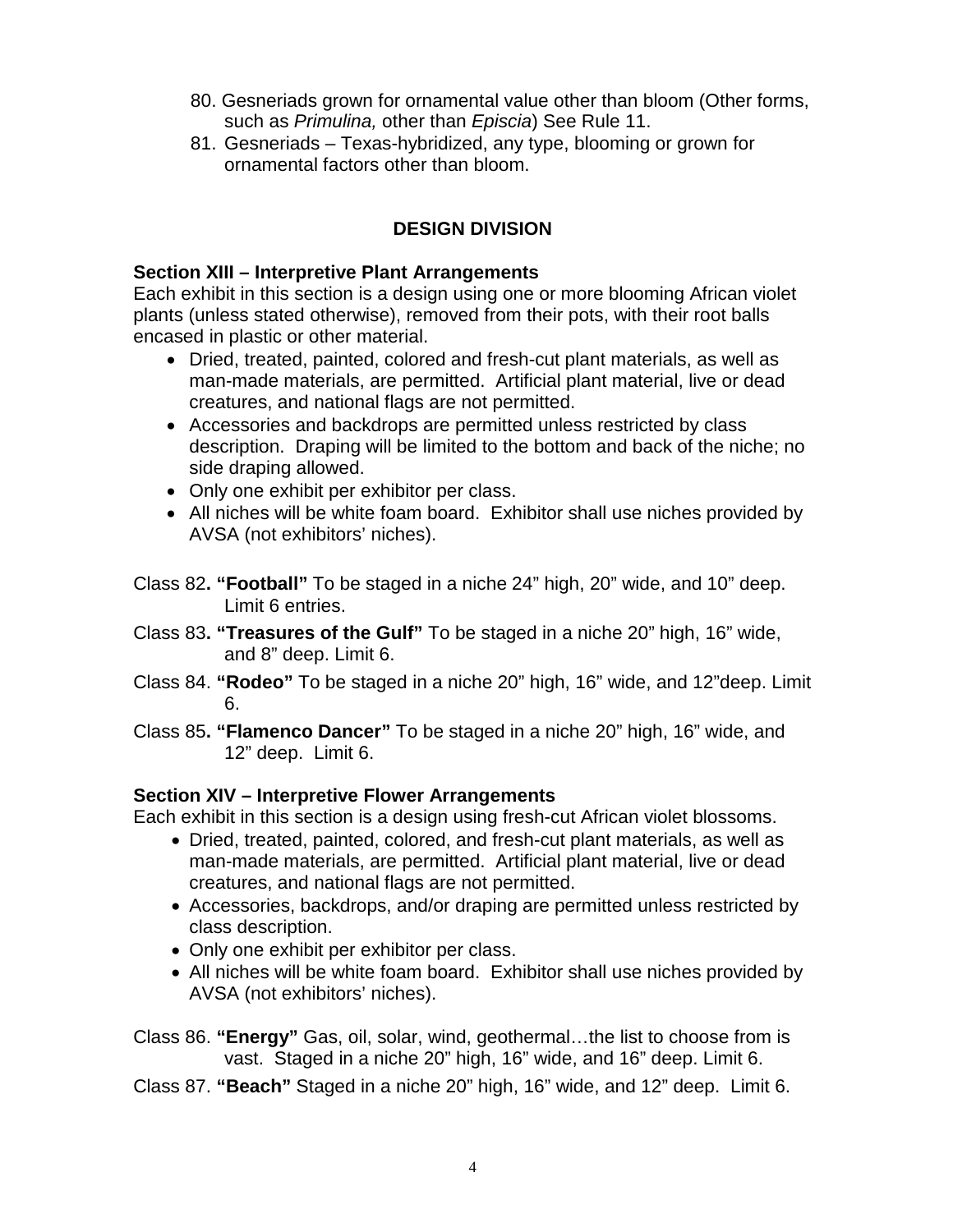- 80. Gesneriads grown for ornamental value other than bloom (Other forms, such as *Primulina,* other than *Episcia*) See Rule 11.
- 81. Gesneriads Texas-hybridized, any type, blooming or grown for ornamental factors other than bloom.

# **DESIGN DIVISION**

### **Section XIII – Interpretive Plant Arrangements**

Each exhibit in this section is a design using one or more blooming African violet plants (unless stated otherwise), removed from their pots, with their root balls encased in plastic or other material.

- Dried, treated, painted, colored and fresh-cut plant materials, as well as man-made materials, are permitted. Artificial plant material, live or dead creatures, and national flags are not permitted.
- Accessories and backdrops are permitted unless restricted by class description. Draping will be limited to the bottom and back of the niche; no side draping allowed.
- Only one exhibit per exhibitor per class.
- All niches will be white foam board. Exhibitor shall use niches provided by AVSA (not exhibitors' niches).
- Class 82**. "Football"** To be staged in a niche 24" high, 20" wide, and 10" deep. Limit 6 entries.
- Class 83**. "Treasures of the Gulf"** To be staged in a niche 20" high, 16" wide, and 8" deep. Limit 6.
- Class 84. **"Rodeo"** To be staged in a niche 20" high, 16" wide, and 12"deep. Limit 6.
- Class 85**. "Flamenco Dancer"** To be staged in a niche 20" high, 16" wide, and 12" deep. Limit 6.

# **Section XIV – Interpretive Flower Arrangements**

Each exhibit in this section is a design using fresh-cut African violet blossoms.

- Dried, treated, painted, colored, and fresh-cut plant materials, as well as man-made materials, are permitted. Artificial plant material, live or dead creatures, and national flags are not permitted.
- Accessories, backdrops, and/or draping are permitted unless restricted by class description.
- Only one exhibit per exhibitor per class.
- All niches will be white foam board. Exhibitor shall use niches provided by AVSA (not exhibitors' niches).

Class 86. **"Energy"** Gas, oil, solar, wind, geothermal…the list to choose from is vast. Staged in a niche 20" high, 16" wide, and 16" deep. Limit 6.

Class 87. **"Beach"** Staged in a niche 20" high, 16" wide, and 12" deep. Limit 6.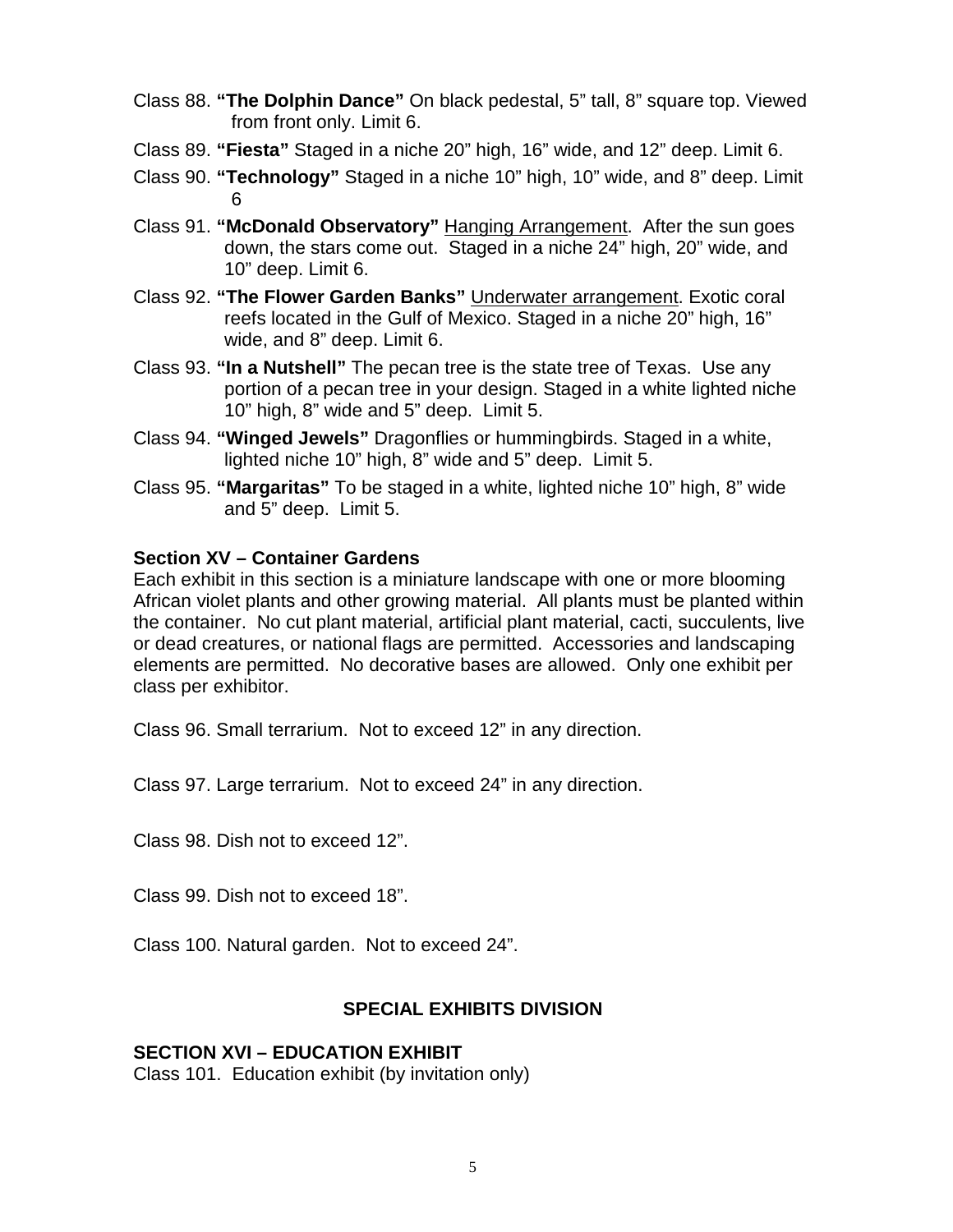- Class 88. **"The Dolphin Dance"** On black pedestal, 5" tall, 8" square top. Viewed from front only. Limit 6.
- Class 89. **"Fiesta"** Staged in a niche 20" high, 16" wide, and 12" deep. Limit 6.
- Class 90. **"Technology"** Staged in a niche 10" high, 10" wide, and 8" deep. Limit 6
- Class 91. **"McDonald Observatory"** Hanging Arrangement. After the sun goes down, the stars come out. Staged in a niche 24" high, 20" wide, and 10" deep. Limit 6.
- Class 92. **"The Flower Garden Banks"** Underwater arrangement. Exotic coral reefs located in the Gulf of Mexico. Staged in a niche 20" high, 16" wide, and 8" deep. Limit 6.
- Class 93. **"In a Nutshell"** The pecan tree is the state tree of Texas. Use any portion of a pecan tree in your design. Staged in a white lighted niche 10" high, 8" wide and 5" deep. Limit 5.
- Class 94. **"Winged Jewels"** Dragonflies or hummingbirds. Staged in a white, lighted niche 10" high, 8" wide and 5" deep. Limit 5.
- Class 95. **"Margaritas"** To be staged in a white, lighted niche 10" high, 8" wide and 5" deep. Limit 5.

### **Section XV – Container Gardens**

Each exhibit in this section is a miniature landscape with one or more blooming African violet plants and other growing material. All plants must be planted within the container. No cut plant material, artificial plant material, cacti, succulents, live or dead creatures, or national flags are permitted. Accessories and landscaping elements are permitted. No decorative bases are allowed. Only one exhibit per class per exhibitor.

Class 96. Small terrarium. Not to exceed 12" in any direction.

Class 97. Large terrarium. Not to exceed 24" in any direction.

Class 98. Dish not to exceed 12".

Class 99. Dish not to exceed 18".

Class 100. Natural garden. Not to exceed 24".

### **SPECIAL EXHIBITS DIVISION**

### **SECTION XVI – EDUCATION EXHIBIT**

Class 101. Education exhibit (by invitation only)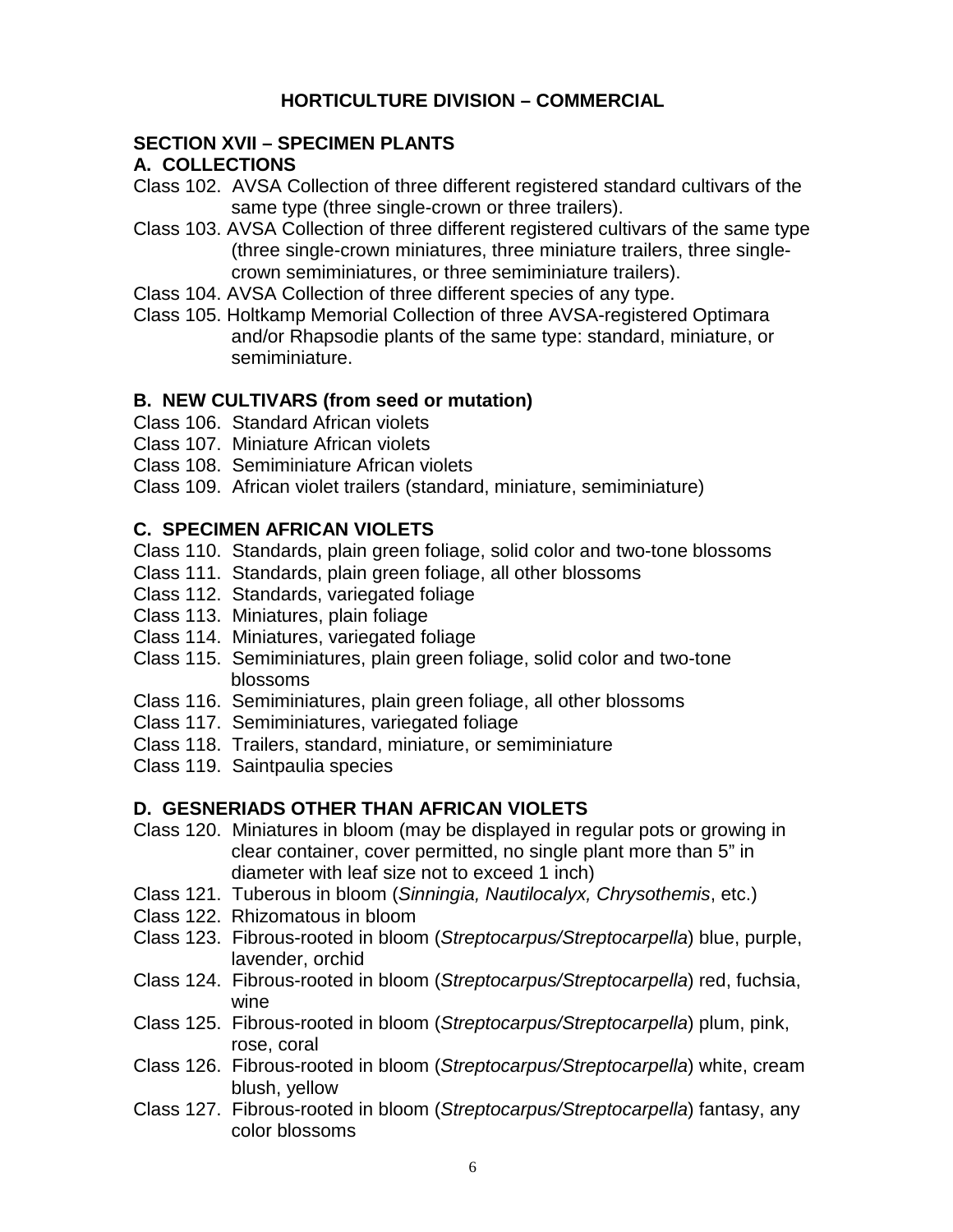### **HORTICULTURE DIVISION – COMMERCIAL**

#### **SECTION XVII – SPECIMEN PLANTS**

#### **A. COLLECTIONS**

- Class 102. AVSA Collection of three different registered standard cultivars of the same type (three single-crown or three trailers).
- Class 103. AVSA Collection of three different registered cultivars of the same type (three single-crown miniatures, three miniature trailers, three singlecrown semiminiatures, or three semiminiature trailers).
- Class 104. AVSA Collection of three different species of any type.
- Class 105. Holtkamp Memorial Collection of three AVSA-registered Optimara and/or Rhapsodie plants of the same type: standard, miniature, or semiminiature.

### **B. NEW CULTIVARS (from seed or mutation)**

- Class 106. Standard African violets
- Class 107. Miniature African violets
- Class 108. Semiminiature African violets
- Class 109. African violet trailers (standard, miniature, semiminiature)

### **C. SPECIMEN AFRICAN VIOLETS**

- Class 110. Standards, plain green foliage, solid color and two-tone blossoms
- Class 111. Standards, plain green foliage, all other blossoms
- Class 112. Standards, variegated foliage
- Class 113. Miniatures, plain foliage
- Class 114. Miniatures, variegated foliage
- Class 115. Semiminiatures, plain green foliage, solid color and two-tone blossoms
- Class 116. Semiminiatures, plain green foliage, all other blossoms
- Class 117. Semiminiatures, variegated foliage
- Class 118. Trailers, standard, miniature, or semiminiature
- Class 119. Saintpaulia species

### **D. GESNERIADS OTHER THAN AFRICAN VIOLETS**

- Class 120. Miniatures in bloom (may be displayed in regular pots or growing in clear container, cover permitted, no single plant more than 5" in diameter with leaf size not to exceed 1 inch)
- Class 121. Tuberous in bloom (*Sinningia, Nautilocalyx, Chrysothemis*, etc.)
- Class 122. Rhizomatous in bloom
- Class 123. Fibrous-rooted in bloom (*Streptocarpus/Streptocarpella*) blue, purple, lavender, orchid
- Class 124. Fibrous-rooted in bloom (*Streptocarpus/Streptocarpella*) red, fuchsia, wine
- Class 125. Fibrous-rooted in bloom (*Streptocarpus/Streptocarpella*) plum, pink, rose, coral
- Class 126. Fibrous-rooted in bloom (*Streptocarpus/Streptocarpella*) white, cream blush, yellow
- Class 127. Fibrous-rooted in bloom (*Streptocarpus/Streptocarpella*) fantasy, any color blossoms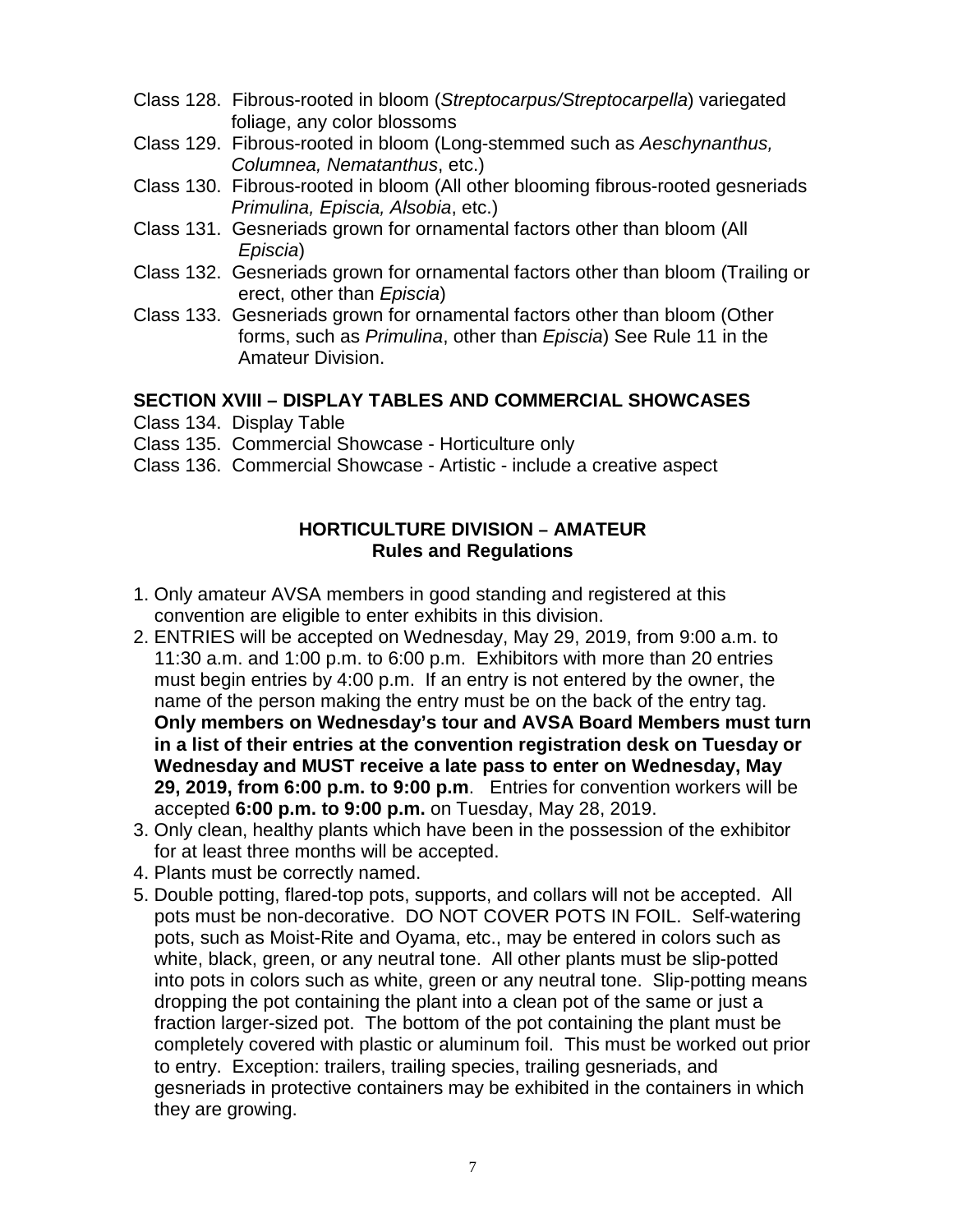- Class 128. Fibrous-rooted in bloom (*Streptocarpus/Streptocarpella*) variegated foliage, any color blossoms
- Class 129. Fibrous-rooted in bloom (Long-stemmed such as *Aeschynanthus, Columnea, Nematanthus*, etc.)
- Class 130. Fibrous-rooted in bloom (All other blooming fibrous-rooted gesneriads *Primulina, Episcia, Alsobia*, etc.)
- Class 131. Gesneriads grown for ornamental factors other than bloom (All *Episcia*)
- Class 132. Gesneriads grown for ornamental factors other than bloom (Trailing or erect, other than *Episcia*)
- Class 133. Gesneriads grown for ornamental factors other than bloom (Other forms, such as *Primulina*, other than *Episcia*) See Rule 11 in the Amateur Division.

### **SECTION XVIII – DISPLAY TABLES AND COMMERCIAL SHOWCASES**

- Class 134. Display Table
- Class 135. Commercial Showcase Horticulture only
- Class 136. Commercial Showcase Artistic include a creative aspect

### **HORTICULTURE DIVISION – AMATEUR Rules and Regulations**

- 1. Only amateur AVSA members in good standing and registered at this convention are eligible to enter exhibits in this division.
- 2. ENTRIES will be accepted on Wednesday, May 29, 2019, from 9:00 a.m. to 11:30 a.m. and 1:00 p.m. to 6:00 p.m. Exhibitors with more than 20 entries must begin entries by 4:00 p.m. If an entry is not entered by the owner, the name of the person making the entry must be on the back of the entry tag. **Only members on Wednesday's tour and AVSA Board Members must turn in a list of their entries at the convention registration desk on Tuesday or Wednesday and MUST receive a late pass to enter on Wednesday, May 29, 2019, from 6:00 p.m. to 9:00 p.m**. Entries for convention workers will be accepted **6:00 p.m. to 9:00 p.m.** on Tuesday, May 28, 2019.
- 3. Only clean, healthy plants which have been in the possession of the exhibitor for at least three months will be accepted.
- 4. Plants must be correctly named.
- 5. Double potting, flared-top pots, supports, and collars will not be accepted. All pots must be non-decorative. DO NOT COVER POTS IN FOIL. Self-watering pots, such as Moist-Rite and Oyama, etc., may be entered in colors such as white, black, green, or any neutral tone. All other plants must be slip-potted into pots in colors such as white, green or any neutral tone. Slip-potting means dropping the pot containing the plant into a clean pot of the same or just a fraction larger-sized pot. The bottom of the pot containing the plant must be completely covered with plastic or aluminum foil. This must be worked out prior to entry. Exception: trailers, trailing species, trailing gesneriads, and gesneriads in protective containers may be exhibited in the containers in which they are growing.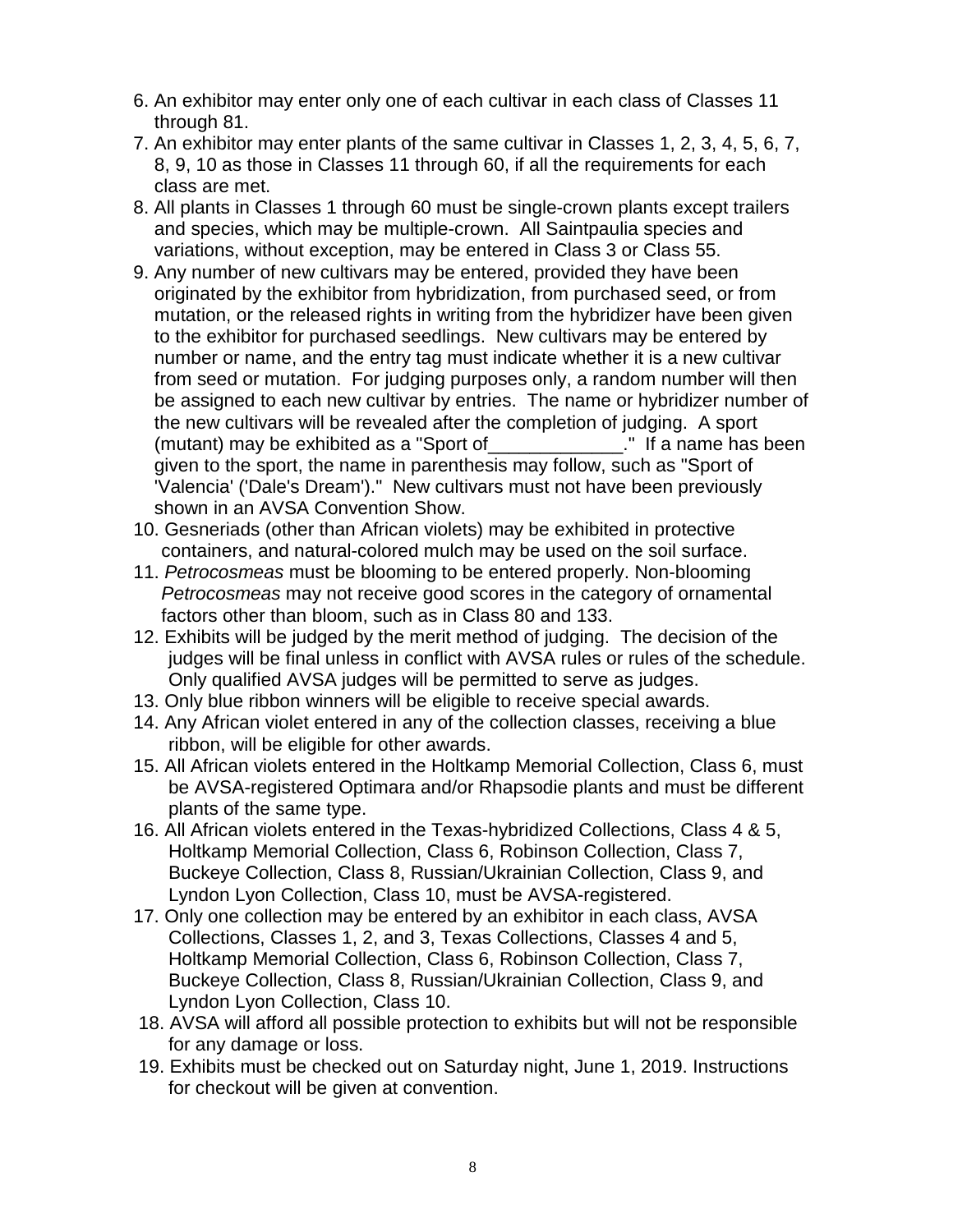- 6. An exhibitor may enter only one of each cultivar in each class of Classes 11 through 81.
- 7. An exhibitor may enter plants of the same cultivar in Classes 1, 2, 3, 4, 5, 6, 7, 8, 9, 10 as those in Classes 11 through 60, if all the requirements for each class are met.
- 8. All plants in Classes 1 through 60 must be single-crown plants except trailers and species, which may be multiple-crown. All Saintpaulia species and variations, without exception, may be entered in Class 3 or Class 55.
- 9. Any number of new cultivars may be entered, provided they have been originated by the exhibitor from hybridization, from purchased seed, or from mutation, or the released rights in writing from the hybridizer have been given to the exhibitor for purchased seedlings. New cultivars may be entered by number or name, and the entry tag must indicate whether it is a new cultivar from seed or mutation. For judging purposes only, a random number will then be assigned to each new cultivar by entries. The name or hybridizer number of the new cultivars will be revealed after the completion of judging. A sport (mutant) may be exhibited as a "Sport of\_\_\_\_\_\_\_\_\_\_\_\_\_." If a name has been given to the sport, the name in parenthesis may follow, such as "Sport of 'Valencia' ('Dale's Dream')." New cultivars must not have been previously shown in an AVSA Convention Show.
- 10. Gesneriads (other than African violets) may be exhibited in protective containers, and natural-colored mulch may be used on the soil surface.
- 11. *Petrocosmeas* must be blooming to be entered properly. Non-blooming *Petrocosmeas* may not receive good scores in the category of ornamental factors other than bloom, such as in Class 80 and 133.
- 12. Exhibits will be judged by the merit method of judging. The decision of the judges will be final unless in conflict with AVSA rules or rules of the schedule. Only qualified AVSA judges will be permitted to serve as judges.
- 13. Only blue ribbon winners will be eligible to receive special awards.
- 14. Any African violet entered in any of the collection classes, receiving a blue ribbon, will be eligible for other awards.
- 15. All African violets entered in the Holtkamp Memorial Collection, Class 6, must be AVSA-registered Optimara and/or Rhapsodie plants and must be different plants of the same type.
- 16. All African violets entered in the Texas-hybridized Collections, Class 4 & 5, Holtkamp Memorial Collection, Class 6, Robinson Collection, Class 7, Buckeye Collection, Class 8, Russian/Ukrainian Collection, Class 9, and Lyndon Lyon Collection, Class 10, must be AVSA-registered.
- 17. Only one collection may be entered by an exhibitor in each class, AVSA Collections, Classes 1, 2, and 3, Texas Collections, Classes 4 and 5, Holtkamp Memorial Collection, Class 6, Robinson Collection, Class 7, Buckeye Collection, Class 8, Russian/Ukrainian Collection, Class 9, and Lyndon Lyon Collection, Class 10.
- 18. AVSA will afford all possible protection to exhibits but will not be responsible for any damage or loss.
- 19. Exhibits must be checked out on Saturday night, June 1, 2019. Instructions for checkout will be given at convention.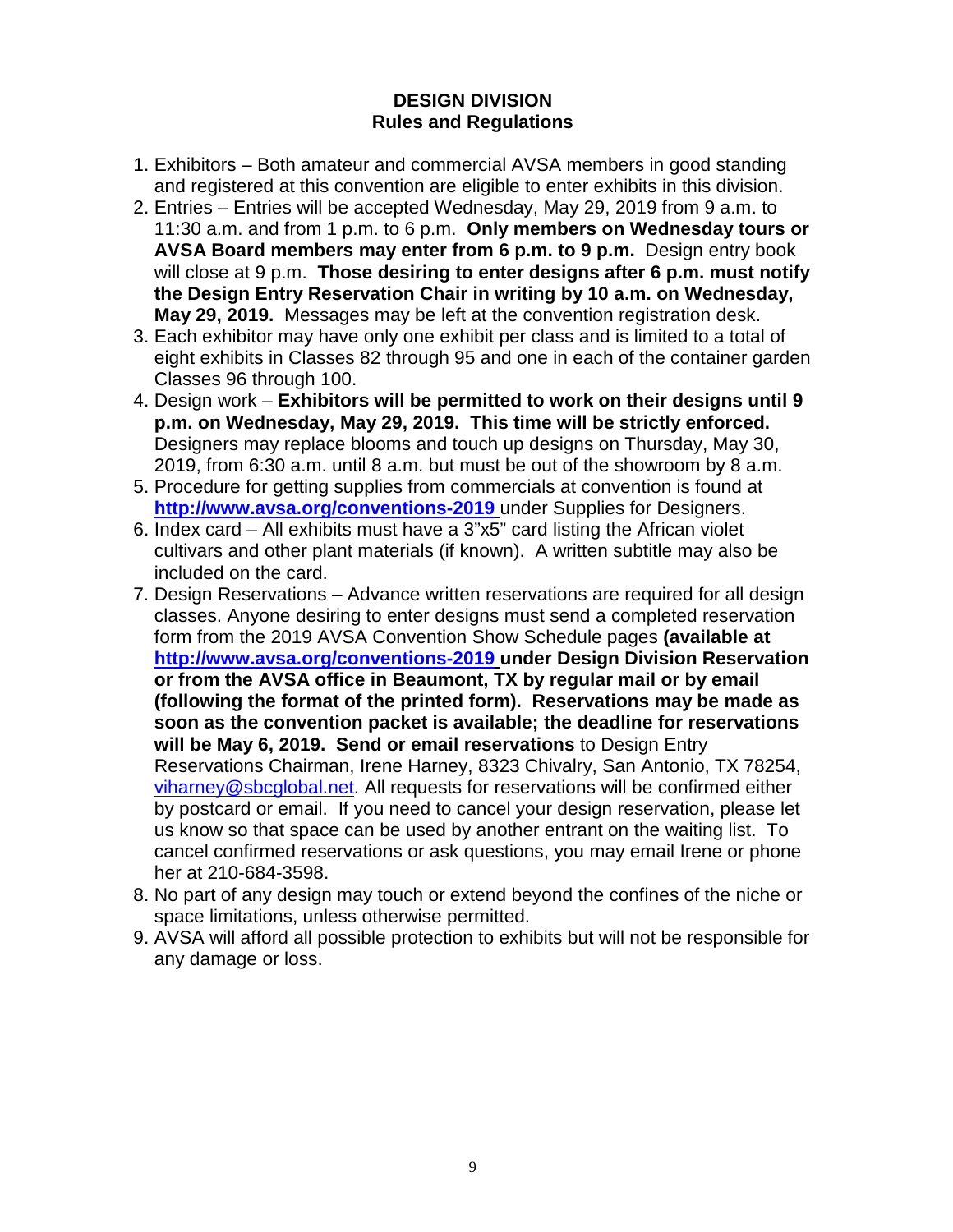### **DESIGN DIVISION Rules and Regulations**

- 1. Exhibitors Both amateur and commercial AVSA members in good standing and registered at this convention are eligible to enter exhibits in this division.
- 2. Entries Entries will be accepted Wednesday, May 29, 2019 from 9 a.m. to 11:30 a.m. and from 1 p.m. to 6 p.m. **Only members on Wednesday tours or AVSA Board members may enter from 6 p.m. to 9 p.m.** Design entry book will close at 9 p.m. **Those desiring to enter designs after 6 p.m. must notify the Design Entry Reservation Chair in writing by 10 a.m. on Wednesday, May 29, 2019.** Messages may be left at the convention registration desk.
- 3. Each exhibitor may have only one exhibit per class and is limited to a total of eight exhibits in Classes 82 through 95 and one in each of the container garden Classes 96 through 100.
- 4. Design work **Exhibitors will be permitted to work on their designs until 9 p.m. on Wednesday, May 29, 2019. This time will be strictly enforced.** Designers may replace blooms and touch up designs on Thursday, May 30, 2019, from 6:30 a.m. until 8 a.m. but must be out of the showroom by 8 a.m.
- 5. Procedure for getting supplies from commercials at convention is found at **<http://www.avsa.org/conventions-2019>** under Supplies for Designers.
- 6. Index card All exhibits must have a 3"x5" card listing the African violet cultivars and other plant materials (if known). A written subtitle may also be included on the card.
- 7. Design Reservations Advance written reservations are required for all design classes. Anyone desiring to enter designs must send a completed reservation form from the 2019 AVSA Convention Show Schedule pages **(available at <http://www.avsa.org/conventions-2019> under Design Division Reservation or from the AVSA office in Beaumont, TX by regular mail or by email (following the format of the printed form). Reservations may be made as soon as the convention packet is available; the deadline for reservations will be May 6, 2019. Send or email reservations** to Design Entry Reservations Chairman, Irene Harney, 8323 Chivalry, San Antonio, TX 78254, [viharney@sbcglobal.net.](mailto:viharney@sbcglobal.net) All requests for reservations will be confirmed either by postcard or email. If you need to cancel your design reservation, please let us know so that space can be used by another entrant on the waiting list. To cancel confirmed reservations or ask questions, you may email Irene or phone her at 210-684-3598.
- 8. No part of any design may touch or extend beyond the confines of the niche or space limitations, unless otherwise permitted.
- 9. AVSA will afford all possible protection to exhibits but will not be responsible for any damage or loss.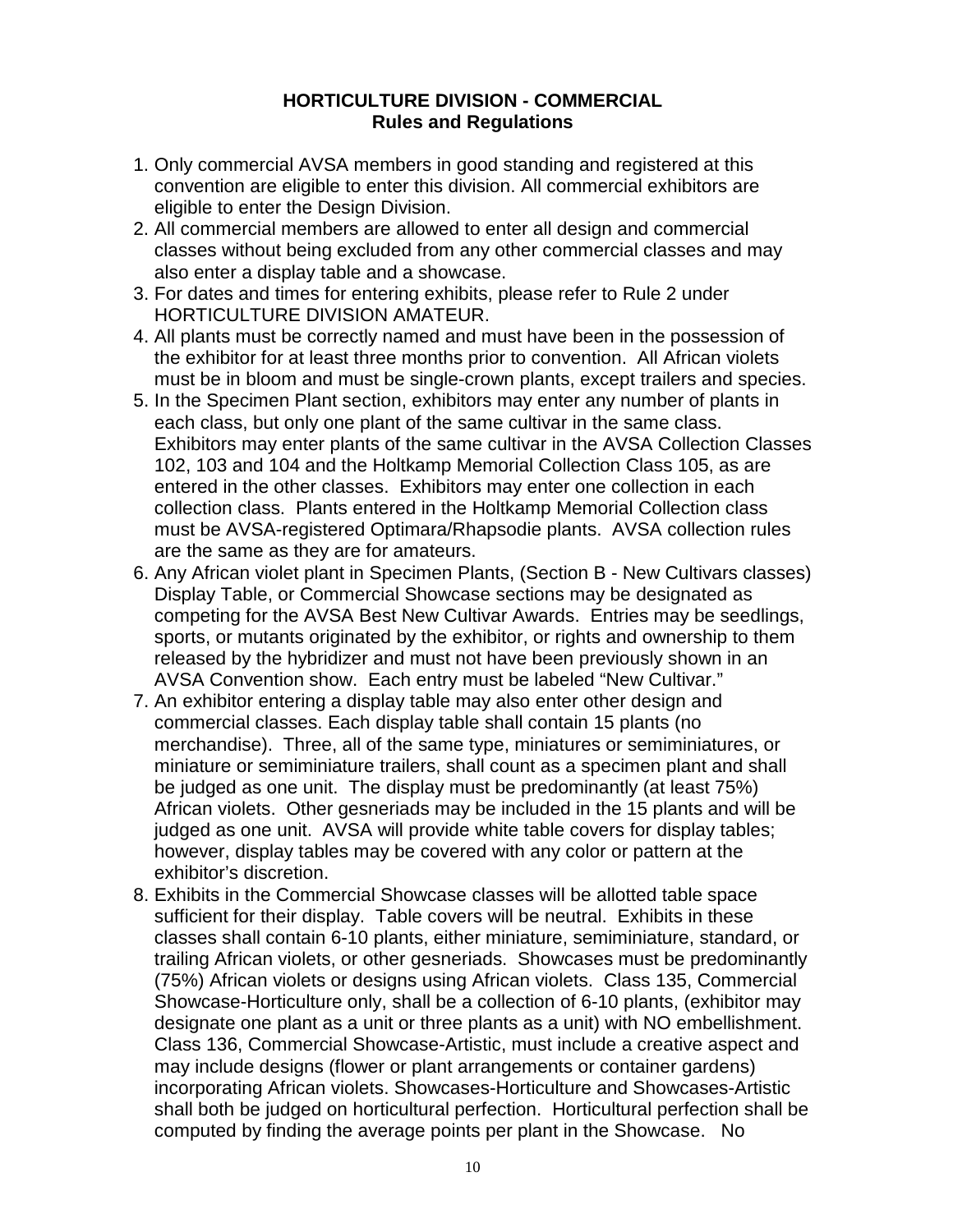#### **HORTICULTURE DIVISION - COMMERCIAL Rules and Regulations**

- 1. Only commercial AVSA members in good standing and registered at this convention are eligible to enter this division. All commercial exhibitors are eligible to enter the Design Division.
- 2. All commercial members are allowed to enter all design and commercial classes without being excluded from any other commercial classes and may also enter a display table and a showcase.
- 3. For dates and times for entering exhibits, please refer to Rule 2 under HORTICULTURE DIVISION AMATEUR.
- 4. All plants must be correctly named and must have been in the possession of the exhibitor for at least three months prior to convention. All African violets must be in bloom and must be single-crown plants, except trailers and species.
- 5. In the Specimen Plant section, exhibitors may enter any number of plants in each class, but only one plant of the same cultivar in the same class. Exhibitors may enter plants of the same cultivar in the AVSA Collection Classes 102, 103 and 104 and the Holtkamp Memorial Collection Class 105, as are entered in the other classes. Exhibitors may enter one collection in each collection class. Plants entered in the Holtkamp Memorial Collection class must be AVSA-registered Optimara/Rhapsodie plants. AVSA collection rules are the same as they are for amateurs.
- 6. Any African violet plant in Specimen Plants, (Section B New Cultivars classes) Display Table, or Commercial Showcase sections may be designated as competing for the AVSA Best New Cultivar Awards. Entries may be seedlings, sports, or mutants originated by the exhibitor, or rights and ownership to them released by the hybridizer and must not have been previously shown in an AVSA Convention show. Each entry must be labeled "New Cultivar."
- 7. An exhibitor entering a display table may also enter other design and commercial classes. Each display table shall contain 15 plants (no merchandise). Three, all of the same type, miniatures or semiminiatures, or miniature or semiminiature trailers, shall count as a specimen plant and shall be judged as one unit. The display must be predominantly (at least 75%) African violets. Other gesneriads may be included in the 15 plants and will be judged as one unit. AVSA will provide white table covers for display tables; however, display tables may be covered with any color or pattern at the exhibitor's discretion.
- 8. Exhibits in the Commercial Showcase classes will be allotted table space sufficient for their display. Table covers will be neutral. Exhibits in these classes shall contain 6-10 plants, either miniature, semiminiature, standard, or trailing African violets, or other gesneriads. Showcases must be predominantly (75%) African violets or designs using African violets.Class 135, Commercial Showcase-Horticulture only, shall be a collection of 6-10 plants, (exhibitor may designate one plant as a unit or three plants as a unit) with NO embellishment. Class 136, Commercial Showcase-Artistic, must include a creative aspect and may include designs (flower or plant arrangements or container gardens) incorporating African violets. Showcases-Horticulture and Showcases-Artistic shall both be judged on horticultural perfection. Horticultural perfection shall be computed by finding the average points per plant in the Showcase. No